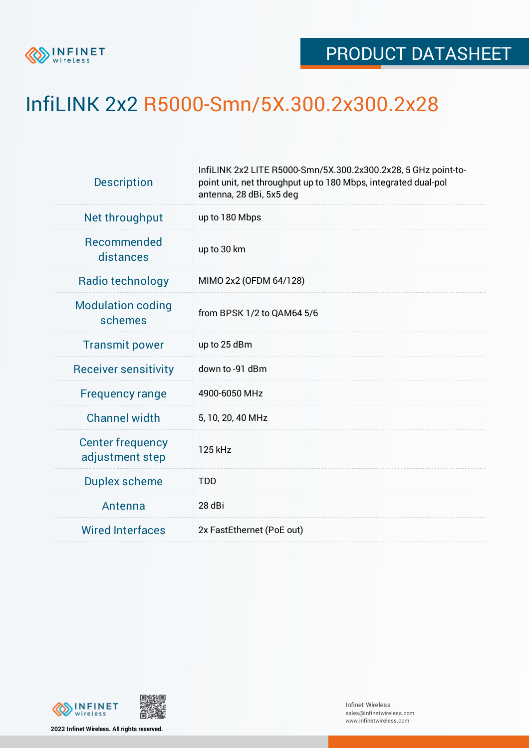

## InfiLINK 2x2 R5000-Smn/5X.300.2x300.2x28

| <b>Description</b>                         | InfiLINK 2x2 LITE R5000-Smn/5X.300.2x300.2x28, 5 GHz point-to-<br>point unit, net throughput up to 180 Mbps, integrated dual-pol<br>antenna, 28 dBi, 5x5 deg |  |  |  |  |
|--------------------------------------------|--------------------------------------------------------------------------------------------------------------------------------------------------------------|--|--|--|--|
| Net throughput                             | up to 180 Mbps                                                                                                                                               |  |  |  |  |
| Recommended<br>distances                   | up to 30 km                                                                                                                                                  |  |  |  |  |
| Radio technology                           | MIMO 2x2 (OFDM 64/128)                                                                                                                                       |  |  |  |  |
| <b>Modulation coding</b><br>schemes        | from BPSK 1/2 to QAM64 5/6                                                                                                                                   |  |  |  |  |
| <b>Transmit power</b>                      | up to 25 dBm                                                                                                                                                 |  |  |  |  |
| <b>Receiver sensitivity</b>                | down to -91 dBm                                                                                                                                              |  |  |  |  |
| <b>Frequency range</b>                     | 4900-6050 MHz                                                                                                                                                |  |  |  |  |
| <b>Channel width</b>                       | 5, 10, 20, 40 MHz                                                                                                                                            |  |  |  |  |
| <b>Center frequency</b><br>adjustment step | 125 kHz                                                                                                                                                      |  |  |  |  |
| <b>Duplex scheme</b>                       | <b>TDD</b>                                                                                                                                                   |  |  |  |  |
| Antenna                                    | 28 dBi                                                                                                                                                       |  |  |  |  |
| <b>Wired Interfaces</b>                    | 2x FastEthernet (PoE out)                                                                                                                                    |  |  |  |  |



**2022 Infinet Wireless. All rights reserved.**

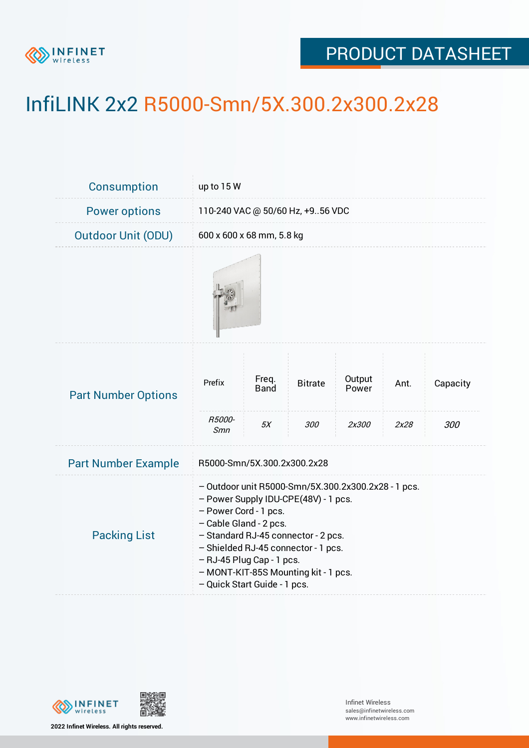

## PRODUCT DATASHEET

## InfiLINK 2x2 R5000-Smn/5X.300.2x300.2x28

| <b>Consumption</b>         | up to $15W$                                                                                                                                                                                                                                                                                                                       |                     |                       |                          |              |                 |  |  |
|----------------------------|-----------------------------------------------------------------------------------------------------------------------------------------------------------------------------------------------------------------------------------------------------------------------------------------------------------------------------------|---------------------|-----------------------|--------------------------|--------------|-----------------|--|--|
| <b>Power options</b>       | 110-240 VAC @ 50/60 Hz, +956 VDC                                                                                                                                                                                                                                                                                                  |                     |                       |                          |              |                 |  |  |
| <b>Outdoor Unit (ODU)</b>  | 600 x 600 x 68 mm, 5.8 kg                                                                                                                                                                                                                                                                                                         |                     |                       |                          |              |                 |  |  |
|                            |                                                                                                                                                                                                                                                                                                                                   |                     |                       |                          |              |                 |  |  |
| <b>Part Number Options</b> | Prefix<br>R5000-                                                                                                                                                                                                                                                                                                                  | Freq.<br>Band<br>5X | <b>Bitrate</b><br>300 | Output<br>Power<br>2x300 | Ant.<br>2x28 | Capacity<br>300 |  |  |
| <b>Part Number Example</b> | Smn<br>R5000-Smn/5X.300.2x300.2x28                                                                                                                                                                                                                                                                                                |                     |                       |                          |              |                 |  |  |
| <b>Packing List</b>        | - Outdoor unit R5000-Smn/5X.300.2x300.2x28 - 1 pcs.<br>- Power Supply IDU-CPE(48V) - 1 pcs.<br>- Power Cord - 1 pcs.<br>- Cable Gland - 2 pcs.<br>- Standard RJ-45 connector - 2 pcs.<br>- Shielded RJ-45 connector - 1 pcs.<br>- RJ-45 Plug Cap - 1 pcs.<br>- MONT-KIT-85S Mounting kit - 1 pcs.<br>- Quick Start Guide - 1 pcs. |                     |                       |                          |              |                 |  |  |



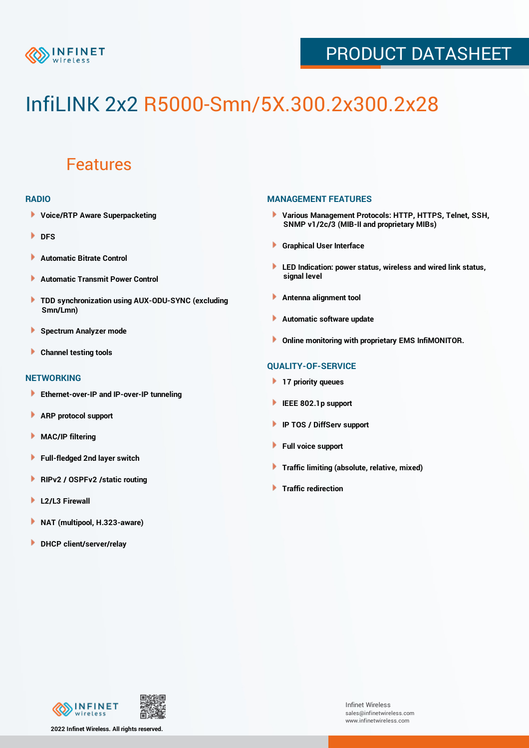

### PRODUCT DATASHEET

# InfiLINK 2x2 R5000-Smn/5X.300.2x300.2x28

### Features

#### **RADIO**

- **Voice/RTP Aware Superpacketing**
- **DFS**
- **Automatic Bitrate Control** Þ
- Þ **Automatic Transmit Power Control**
- ь **TDD synchronization using AUX-ODU-SYNC (excluding Smn/Lmn)**
- **Spectrum Analyzer mode** ۰
- **Channel testing tools** ١

#### **NETWORKING**

- **Ethernet-over-IP and IP-over-IP tunneling**
- Þ **ARP protocol support**
- ۱ **MAC/IP filtering**
- Þ **Full-fledged 2nd layer switch**
- Þ **RIPv2 / OSPFv2 /static routing**
- **L2/L3 Firewall** Þ
- **NAT (multipool, H.323-aware)** Þ
- Þ **DHCP client/server/relay**

#### **MANAGEMENT FEATURES**

- **Various Management Protocols: HTTP, HTTPS, Telnet, SSH, SNMP v1/2c/3 (MIB-II and proprietary MIBs)**
- **Graphical User Interface**
- **LED Indication: power status, wireless and wired link status, signal level**
- **Antenna alignment tool**
- ٠ **Automatic software update**
- **Online monitoring with proprietary EMS InfiMONITOR.**

#### **QUALITY-OF-SERVICE**

- **17 priority queues**
- **IEEE 802.1p support**
- **IP TOS / DiffServ support**
- ٠ **Full voice support**
- **Traffic limiting (absolute, relative, mixed)** ٠
- **Traffic redirection**